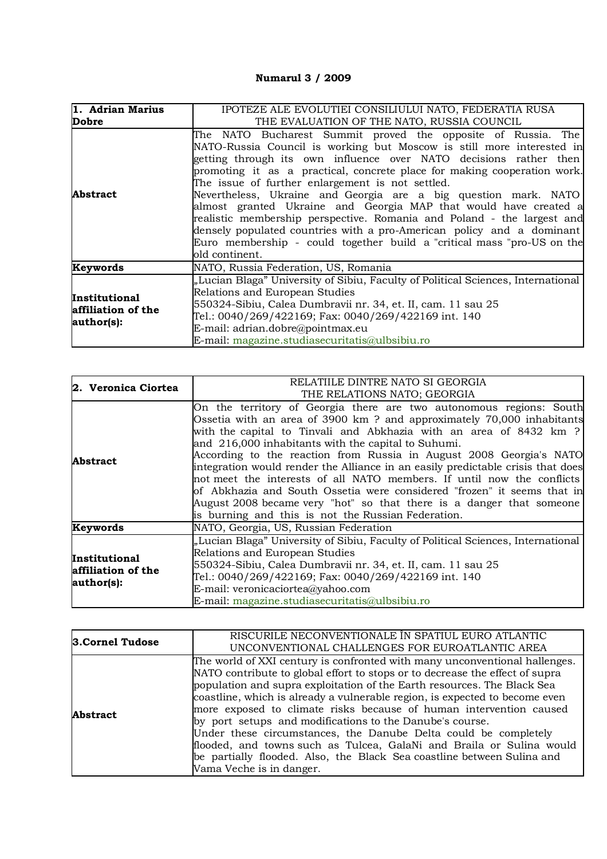## **Numarul 3 / 2009**

| 1. Adrian Marius<br>Dobre                         | IPOTEZE ALE EVOLUTIEI CONSILIULUI NATO, FEDERATIA RUSA<br>THE EVALUATION OF THE NATO, RUSSIA COUNCIL                                                                                                                                                                                                                                                                                                                                                                                                                                                                                                                                                                                                                             |
|---------------------------------------------------|----------------------------------------------------------------------------------------------------------------------------------------------------------------------------------------------------------------------------------------------------------------------------------------------------------------------------------------------------------------------------------------------------------------------------------------------------------------------------------------------------------------------------------------------------------------------------------------------------------------------------------------------------------------------------------------------------------------------------------|
| <b>Abstract</b>                                   | The NATO Bucharest Summit proved the opposite of Russia. The<br>NATO-Russia Council is working but Moscow is still more interested in<br>getting through its own influence over NATO decisions rather then<br>promoting it as a practical, concrete place for making cooperation work.<br>The issue of further enlargement is not settled.<br>Nevertheless, Ukraine and Georgia are a big question mark. NATO<br>almost granted Ukraine and Georgia MAP that would have created a<br>realistic membership perspective. Romania and Poland - the largest and<br>densely populated countries with a pro-American policy and a dominant<br>Euro membership - could together build a "critical mass "pro-US on the<br>old continent. |
| Keywords                                          | NATO, Russia Federation, US, Romania                                                                                                                                                                                                                                                                                                                                                                                                                                                                                                                                                                                                                                                                                             |
| Institutional<br>affiliation of the<br>author(s): | "Lucian Blaga" University of Sibiu, Faculty of Political Sciences, International<br>Relations and European Studies<br>550324-Sibiu, Calea Dumbravii nr. 34, et. II, cam. 11 sau 25<br>Tel.: 0040/269/422169; Fax: 0040/269/422169 int. 140<br>E-mail: adrian.dobre@pointmax.eu<br>E-mail: magazine.studiasecuritatis@ulbsibiu.ro                                                                                                                                                                                                                                                                                                                                                                                                 |

| 2. Veronica Ciortea                                      | RELATIILE DINTRE NATO SI GEORGIA<br>THE RELATIONS NATO; GEORGIA                                                                                                                                                                                                                                                                                                                                                                                                                                                                                                                                                                                                                                                        |
|----------------------------------------------------------|------------------------------------------------------------------------------------------------------------------------------------------------------------------------------------------------------------------------------------------------------------------------------------------------------------------------------------------------------------------------------------------------------------------------------------------------------------------------------------------------------------------------------------------------------------------------------------------------------------------------------------------------------------------------------------------------------------------------|
| <b>Abstract</b>                                          | On the territory of Georgia there are two autonomous regions: South<br>Ossetia with an area of 3900 km? and approximately 70,000 inhabitants<br>with the capital to Tinvali and Abkhazia with an area of 8432 km ?<br>and 216,000 inhabitants with the capital to Suhumi.<br>According to the reaction from Russia in August 2008 Georgia's NATO<br>integration would render the Alliance in an easily predictable crisis that does<br>not meet the interests of all NATO members. If until now the conflicts<br>of Abkhazia and South Ossetia were considered "frozen" it seems that in<br>August 2008 became very "hot" so that there is a danger that someone<br>is burning and this is not the Russian Federation. |
| Keywords                                                 | NATO, Georgia, US, Russian Federation                                                                                                                                                                                                                                                                                                                                                                                                                                                                                                                                                                                                                                                                                  |
| <b>Institutional</b><br>affiliation of the<br>author(s): | "Lucian Blaga" University of Sibiu, Faculty of Political Sciences, International<br>Relations and European Studies<br>550324-Sibiu, Calea Dumbravii nr. 34, et. II, cam. 11 sau 25<br>Tel.: 0040/269/422169; Fax: 0040/269/422169 int. 140<br>E-mail: veronicaciortea@yahoo.com<br>E-mail: magazine.studiasecuritatis@ulbsibiu.ro                                                                                                                                                                                                                                                                                                                                                                                      |

| 3.Cornel Tudose | RISCURILE NECONVENTIONALE ÎN SPATIUL EURO ATLANTIC<br>UNCONVENTIONAL CHALLENGES FOR EUROATLANTIC AREA                                                                                                                                                                                                                                                                                                                                                                                                                                                                                                                                                                                                   |
|-----------------|---------------------------------------------------------------------------------------------------------------------------------------------------------------------------------------------------------------------------------------------------------------------------------------------------------------------------------------------------------------------------------------------------------------------------------------------------------------------------------------------------------------------------------------------------------------------------------------------------------------------------------------------------------------------------------------------------------|
| <b>Abstract</b> | The world of XXI century is confronted with many unconventional hallenges.<br>NATO contribute to global effort to stops or to decrease the effect of supra<br>population and supra exploitation of the Earth resources. The Black Sea<br>coastline, which is already a vulnerable region, is expected to become even<br>more exposed to climate risks because of human intervention caused<br>by port setups and modifications to the Danube's course.<br>Under these circumstances, the Danube Delta could be completely<br>flooded, and towns such as Tulcea, GalaNi and Braila or Sulina would<br>be partially flooded. Also, the Black Sea coastline between Sulina and<br>Vama Veche is in danger. |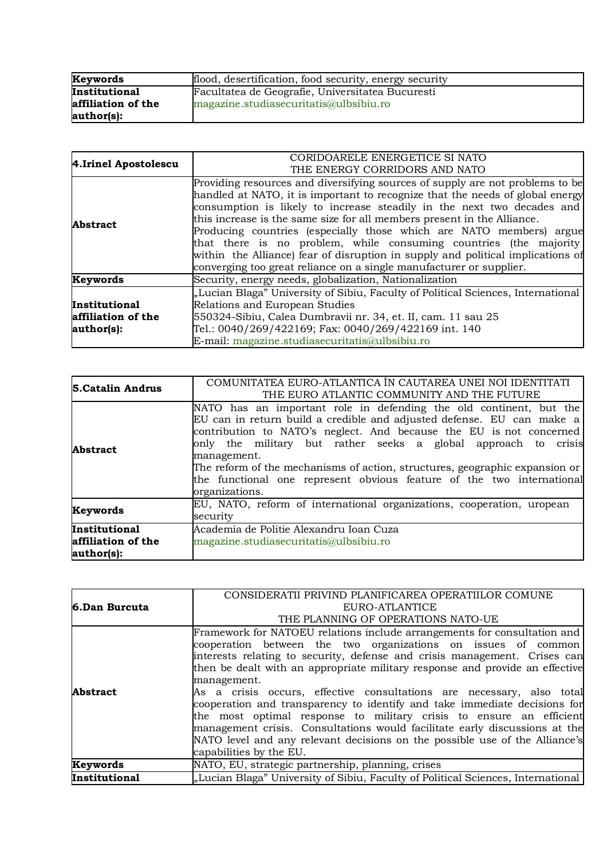| Keywords           | flood, desertification, food security, energy security |
|--------------------|--------------------------------------------------------|
| Institutional      | Facultatea de Geografie, Universitatea Bucuresti       |
| affiliation of the | magazine.studiasecuritatis@ulbsibiu.ro                 |
| author(s):         |                                                        |

| 4. Irinel Apostolescu | CORIDOARELE ENERGETICE SI NATO                                                   |
|-----------------------|----------------------------------------------------------------------------------|
|                       | THE ENERGY CORRIDORS AND NATO                                                    |
|                       | Providing resources and diversifying sources of supply are not problems to be    |
|                       | handled at NATO, it is important to recognize that the needs of global energy    |
|                       | consumption is likely to increase steadily in the next two decades and           |
| <b>Abstract</b>       | this increase is the same size for all members present in the Alliance.          |
|                       | Producing countries (especially those which are NATO members) argue              |
|                       | that there is no problem, while consuming countries (the majority                |
|                       | within the Alliance) fear of disruption in supply and political implications of  |
|                       | converging too great reliance on a single manufacturer or supplier.              |
| Keywords              | Security, energy needs, globalization, Nationalization                           |
|                       | "Lucian Blaga" University of Sibiu, Faculty of Political Sciences, International |
| Institutional         | Relations and European Studies                                                   |
| affiliation of the    | 550324-Sibiu, Calea Dumbravii nr. 34, et. II, cam. 11 sau 25                     |
| author(s):            | Tel.: 0040/269/422169; Fax: 0040/269/422169 int. 140                             |
|                       | E-mail: magazine.studiasecuritatis@ulbsibiu.ro                                   |

| 5. Catalin Andrus                                 | COMUNITATEA EURO-ATLANTICA ÎN CAUTAREA UNEI NOI IDENTITATI<br>THE EURO ATLANTIC COMMUNITY AND THE FUTURE                                                                                                                                                                                                                                                                                                                                                                      |
|---------------------------------------------------|-------------------------------------------------------------------------------------------------------------------------------------------------------------------------------------------------------------------------------------------------------------------------------------------------------------------------------------------------------------------------------------------------------------------------------------------------------------------------------|
| <b>Abstract</b>                                   | NATO has an important role in defending the old continent, but the<br>EU can in return build a credible and adjusted defense. EU can make a<br>contribution to NATO's neglect. And because the EU is not concerned<br>only the military but rather seeks a global approach to crisis<br>management.<br>The reform of the mechanisms of action, structures, geographic expansion or<br>the functional one represent obvious feature of the two international<br>organizations. |
| Keywords                                          | EU, NATO, reform of international organizations, cooperation, uropean<br>security                                                                                                                                                                                                                                                                                                                                                                                             |
| Institutional<br>affiliation of the<br>author(s): | Academia de Politie Alexandru Ioan Cuza<br>magazine.studiasecuritatis@ulbsibiu.ro                                                                                                                                                                                                                                                                                                                                                                                             |

|                 | CONSIDERATII PRIVIND PLANIFICAREA OPERATIILOR COMUNE                                                                                      |
|-----------------|-------------------------------------------------------------------------------------------------------------------------------------------|
| 6.Dan Burcuta   | EURO-ATLANTICE                                                                                                                            |
|                 | THE PLANNING OF OPERATIONS NATO-UE                                                                                                        |
|                 | Framework for NATOEU relations include arrangements for consultation and<br>cooperation between the two organizations on issues of common |
|                 | interests relating to security, defense and crisis management. Crises can                                                                 |
|                 | then be dealt with an appropriate military response and provide an effective                                                              |
|                 | management.                                                                                                                               |
| <b>Abstract</b> | As a crisis occurs, effective consultations are necessary, also total                                                                     |
|                 | cooperation and transparency to identify and take immediate decisions for                                                                 |
|                 | the most optimal response to military crisis to ensure an efficient                                                                       |
|                 | management crisis. Consultations would facilitate early discussions at the                                                                |
|                 | NATO level and any relevant decisions on the possible use of the Alliance's                                                               |
|                 | capabilities by the EU.                                                                                                                   |
| Keywords        | NATO, EU, strategic partnership, planning, crises                                                                                         |
| Institutional   | "Lucian Blaga" University of Sibiu, Faculty of Political Sciences, International                                                          |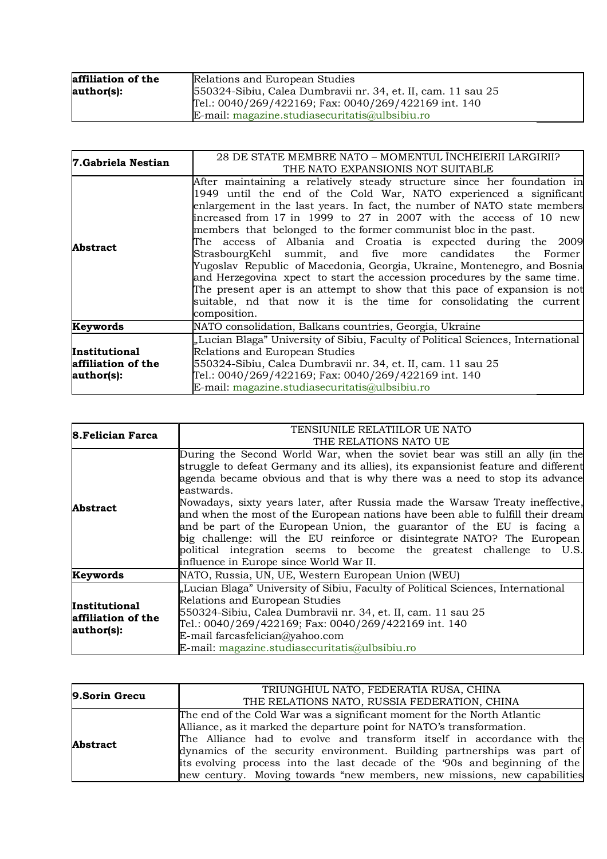| affiliation of the | Relations and European Studies                               |
|--------------------|--------------------------------------------------------------|
| author(s):         | 550324-Sibiu, Calea Dumbravii nr. 34, et. II, cam. 11 sau 25 |
|                    | Tel.: 0040/269/422169; Fax: 0040/269/422169 int. 140         |
|                    | E-mail: magazine.studiasecuritatis@ulbsibiu.ro               |

| 7.Gabriela Nestian                                       | 28 DE STATE MEMBRE NATO – MOMENTUL ÎNCHEIERII LARGIRII?<br>THE NATO EXPANSIONIS NOT SUITABLE                                                                                                                                                                                                                                                                                                                                                                                                                                                                                                                                                                                                                                                                                                                                 |
|----------------------------------------------------------|------------------------------------------------------------------------------------------------------------------------------------------------------------------------------------------------------------------------------------------------------------------------------------------------------------------------------------------------------------------------------------------------------------------------------------------------------------------------------------------------------------------------------------------------------------------------------------------------------------------------------------------------------------------------------------------------------------------------------------------------------------------------------------------------------------------------------|
| <b>Abstract</b>                                          | After maintaining a relatively steady structure since her foundation in<br>1949 until the end of the Cold War, NATO experienced a significant<br>enlargement in the last years. In fact, the number of NATO state members<br>increased from 17 in 1999 to 27 in 2007 with the access of 10 new<br>members that belonged to the former communist bloc in the past.<br>The access of Albania and Croatia is expected during the 2009<br>StrasbourgKehl summit, and five more candidates the Former<br>Yugoslav Republic of Macedonia, Georgia, Ukraine, Montenegro, and Bosnia<br>and Herzegovina xpect to start the accession procedures by the same time.<br>The present aper is an attempt to show that this pace of expansion is not<br>suitable, nd that now it is the time for consolidating the current<br>composition. |
| Keywords                                                 | NATO consolidation, Balkans countries, Georgia, Ukraine                                                                                                                                                                                                                                                                                                                                                                                                                                                                                                                                                                                                                                                                                                                                                                      |
| <b>Institutional</b><br>affiliation of the<br>author(s): | "Lucian Blaga" University of Sibiu, Faculty of Political Sciences, International<br>Relations and European Studies<br>550324-Sibiu, Calea Dumbravii nr. 34, et. II, cam. 11 sau 25<br>Tel.: 0040/269/422169; Fax: 0040/269/422169 int. 140<br>E-mail: magazine.studiasecuritatis@ulbsibiu.ro                                                                                                                                                                                                                                                                                                                                                                                                                                                                                                                                 |

| <b>8.Felician Farca</b>                           | TENSIUNILE RELATIILOR UE NATO<br>THE RELATIONS NATO UE                                                                                                                                                                                                                                                                                                                                                                                                                                                                                                                                                                                                                                                    |
|---------------------------------------------------|-----------------------------------------------------------------------------------------------------------------------------------------------------------------------------------------------------------------------------------------------------------------------------------------------------------------------------------------------------------------------------------------------------------------------------------------------------------------------------------------------------------------------------------------------------------------------------------------------------------------------------------------------------------------------------------------------------------|
| <b>Abstract</b>                                   | During the Second World War, when the soviet bear was still an ally (in the<br>struggle to defeat Germany and its allies), its expansionist feature and different<br>agenda became obvious and that is why there was a need to stop its advance<br>eastwards.<br>Nowadays, sixty years later, after Russia made the Warsaw Treaty ineffective,<br>and when the most of the European nations have been able to fulfill their dream<br>and be part of the European Union, the guarantor of the EU is facing a<br>big challenge: will the EU reinforce or disintegrate NATO? The European<br>political integration seems to become the greatest challenge to U.S.<br>influence in Europe since World War II. |
| Keywords                                          | NATO, Russia, UN, UE, Western European Union (WEU)                                                                                                                                                                                                                                                                                                                                                                                                                                                                                                                                                                                                                                                        |
| Institutional<br>affiliation of the<br>author(s): | "Lucian Blaga" University of Sibiu, Faculty of Political Sciences, International<br>Relations and European Studies<br>550324-Sibiu, Calea Dumbravii nr. 34, et. II, cam. 11 sau 25<br>Tel.: 0040/269/422169; Fax: 0040/269/422169 int. 140<br>E-mail farcasfelician@yahoo.com<br>E-mail: magazine.studiasecuritatis@ulbsibiu.ro                                                                                                                                                                                                                                                                                                                                                                           |

| 9.Sorin Grecu   | TRIUNGHIUL NATO, FEDERATIA RUSA, CHINA                                     |
|-----------------|----------------------------------------------------------------------------|
|                 | THE RELATIONS NATO, RUSSIA FEDERATION, CHINA                               |
| <b>Abstract</b> | The end of the Cold War was a significant moment for the North Atlantic    |
|                 | Alliance, as it marked the departure point for NATO's transformation.      |
|                 | The Alliance had to evolve and transform itself in accordance with the     |
|                 | dynamics of the security environment. Building partnerships was part of    |
|                 | its evolving process into the last decade of the '90s and beginning of the |
|                 | new century. Moving towards "new members, new missions, new capabilities   |